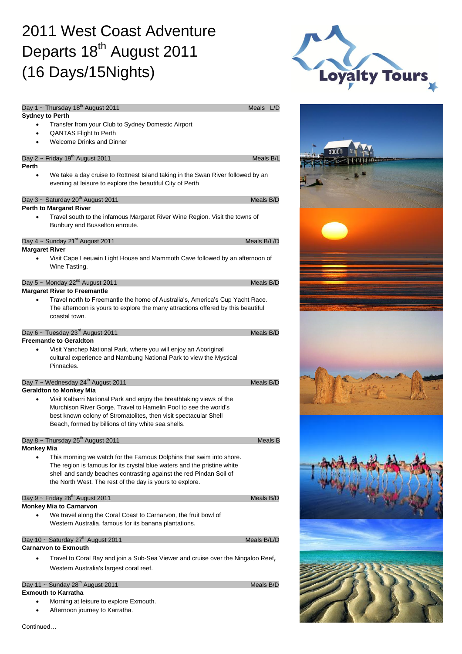## 2011 West Coast Adventure Departs 18<sup>th</sup> August 2011 (16 Days/15Nights)





|                        | Day 1 ~ Thursday $18^{th}$ August 2011                                                                                                                            | Meals       | L/D     |
|------------------------|-------------------------------------------------------------------------------------------------------------------------------------------------------------------|-------------|---------|
| <b>Sydney to Perth</b> |                                                                                                                                                                   |             |         |
| ٠                      | Transfer from your Club to Sydney Domestic Airport                                                                                                                |             |         |
| ٠<br>$\bullet$         | <b>QANTAS Flight to Perth</b><br><b>Welcome Drinks and Dinner</b>                                                                                                 |             |         |
|                        |                                                                                                                                                                   |             |         |
|                        | Day 2 ~ Friday 19 <sup>th</sup> August 2011                                                                                                                       | Meals B/L   |         |
| Perth                  |                                                                                                                                                                   |             |         |
|                        | We take a day cruise to Rottnest Island taking in the Swan River followed by an<br>evening at leisure to explore the beautiful City of Perth                      |             |         |
|                        | Day 3 ~ Saturday 20 <sup>th</sup> August 2011                                                                                                                     | Meals B/D   |         |
|                        | <b>Perth to Margaret River</b>                                                                                                                                    |             |         |
|                        | Travel south to the infamous Margaret River Wine Region. Visit the towns of                                                                                       |             |         |
|                        | Bunbury and Busselton enroute.                                                                                                                                    |             |         |
|                        | Day $4 \sim$ Sunday 21 <sup>st</sup> August 2011                                                                                                                  | Meals B/L/D |         |
| <b>Margaret River</b>  |                                                                                                                                                                   |             |         |
|                        | Visit Cape Leeuwin Light House and Mammoth Cave followed by an afternoon of<br>Wine Tasting.                                                                      |             |         |
|                        | Day 5 ~ Monday $22^{nd}$ August 2011                                                                                                                              | Meals B/D   |         |
|                        | <b>Margaret River to Freemantle</b>                                                                                                                               |             |         |
|                        | Travel north to Freemantle the home of Australia's, America's Cup Yacht Race.<br>The afternoon is yours to explore the many attractions offered by this beautiful |             |         |
|                        | coastal town.                                                                                                                                                     |             |         |
|                        | Day 6 ~ Tuesday $23^{\text{rd}}$ August 2011                                                                                                                      | Meals B/D   |         |
|                        | <b>Freemantle to Geraldton</b>                                                                                                                                    |             |         |
| $\bullet$              | Visit Yanchep National Park, where you will enjoy an Aboriginal<br>cultural experience and Nambung National Park to view the Mystical<br>Pinnacles.               |             |         |
|                        | Day 7 ~ Wednesday 24 <sup>th</sup> August 2011                                                                                                                    | Meals B/D   |         |
|                        | <b>Geraldton to Monkey Mia</b>                                                                                                                                    |             |         |
|                        | Visit Kalbarri National Park and enjoy the breathtaking views of the                                                                                              |             |         |
|                        | Murchison River Gorge. Travel to Hamelin Pool to see the world's                                                                                                  |             |         |
|                        | best known colony of Stromatolites, then visit spectacular Shell                                                                                                  |             |         |
|                        | Beach, formed by billions of tiny white sea shells.                                                                                                               |             |         |
|                        | Day 8 ~ Thursday $25^{th}$ August 2011                                                                                                                            |             | Meals B |
| <b>Monkey Mia</b>      |                                                                                                                                                                   |             |         |
|                        | This morning we watch for the Famous Dolphins that swim into shore.                                                                                               |             |         |
|                        | The region is famous for its crystal blue waters and the pristine white                                                                                           |             |         |
|                        | shell and sandy beaches contrasting against the red Pindan Soil of                                                                                                |             |         |
|                        | the North West. The rest of the day is yours to explore.                                                                                                          |             |         |
|                        | Day $9 \sim$ Friday 26 <sup>th</sup> August 2011                                                                                                                  | Meals B/D   |         |
|                        | <b>Monkey Mia to Carnarvon</b>                                                                                                                                    |             |         |
|                        | We travel along the Coral Coast to Carnarvon, the fruit bowl of<br>Western Australia, famous for its banana plantations.                                          |             |         |
|                        | Day 10 ~ Saturday 27 <sup>th</sup> August 2011                                                                                                                    | Meals B/L/D |         |
|                        | <b>Carnarvon to Exmouth</b>                                                                                                                                       |             |         |
|                        | Travel to Coral Bay and join a Sub-Sea Viewer and cruise over the Ningaloo Reef,                                                                                  |             |         |
|                        | Western Australia's largest coral reef.                                                                                                                           |             |         |
|                        |                                                                                                                                                                   |             |         |

### Day 11 ~ Sunday  $28<sup>th</sup>$  August 2011 Meals B/D

#### **Exmouth to Karratha**

- Morning at leisure to explore Exmouth.
- Afternoon journey to Karratha.